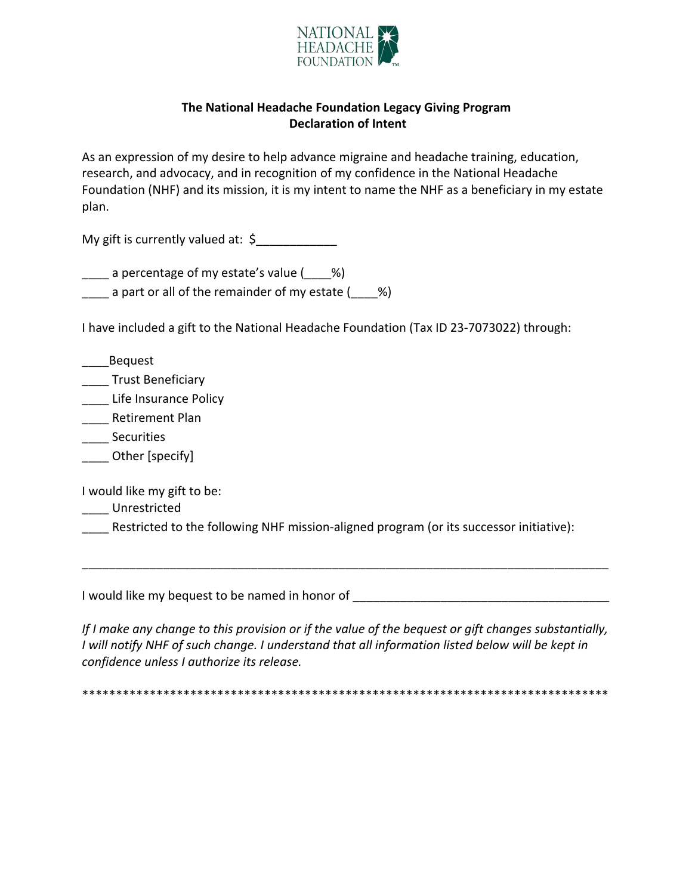

## The National Headache Foundation Legacy Giving Program **Declaration of Intent**

As an expression of my desire to help advance migraine and headache training, education, research, and advocacy, and in recognition of my confidence in the National Headache Foundation (NHF) and its mission, it is my intent to name the NHF as a beneficiary in my estate plan.

My gift is currently valued at:  $\oint$ 

a percentage of my estate's value ( %)

 $\frac{1}{2}$  a part or all of the remainder of my estate ( $\frac{1}{2}$ %)

I have included a gift to the National Headache Foundation (Tax ID 23-7073022) through:

\_\_\_Bequest

**Trust Beneficiary** 

\_\_\_\_ Life Insurance Policy

Retirement Plan

Securities

Other [specify]

I would like my gift to be:

Unrestricted

Restricted to the following NHF mission-aligned program (or its successor initiative):

If I make any change to this provision or if the value of the bequest or gift changes substantially, I will notify NHF of such change. I understand that all information listed below will be kept in confidence unless I authorize its release.